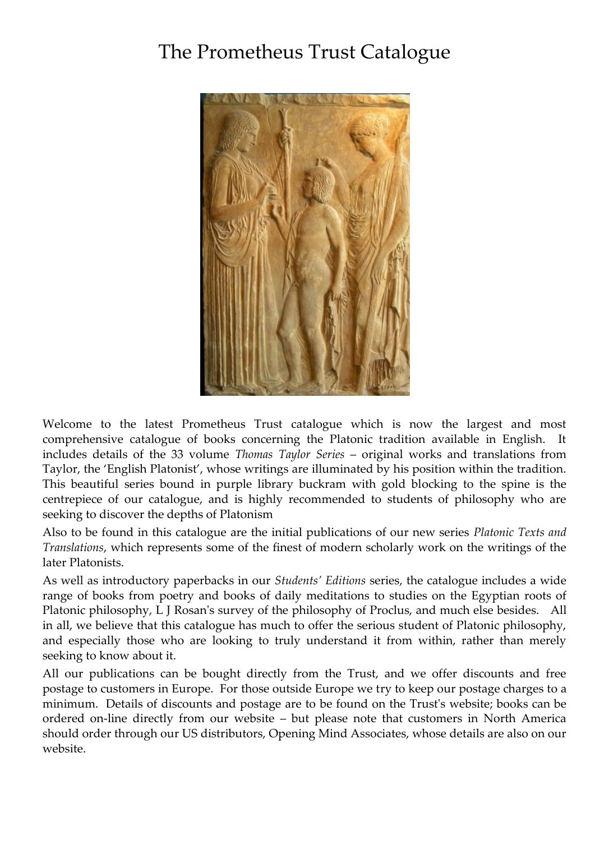# The Prometheus Trust Catalogue



Welcome to the latest Prometheus Trust catalogue which is now the largest and most comprehensive catalogue of books concerning the Platonic tradition available in English. It includes details of the 33 volume *Thomas Taylor Series* – original works and translations from Taylor, the 'English Platonist', whose writings are illuminated by his position within the tradition. This beautiful series bound in purple library buckram with gold blocking to the spine is the centrepiece of our catalogue, and is highly recommended to students of philosophy who are seeking to discover the depths of Platonism

Also to be found in this catalogue are the initial publications of our new series *Platonic Texts and Translations*, which represents some of the finest of modern scholarly work on the writings of the later Platonists.

As well as introductory paperbacks in our *Students' Editions* series, the catalogue includes a wide range of books from poetry and books of daily meditations to studies on the Egyptian roots of Platonic philosophy, L J Rosan's survey of the philosophy of Proclus, and much else besides. All in all, we believe that this catalogue has much to offer the serious student of Platonic philosophy, and especially those who are looking to truly understand it from within, rather than merely seeking to know about it.

All our publications can be bought directly from the Trust, and we offer discounts and free postage to customers in Europe. For those outside Europe we try to keep our postage charges to a minimum. Details of discounts and postage are to be found on the Trust's website; books can be ordered on-line directly from our website – but please note that customers in North America should order through our US distributors, Opening Mind Associates, whose details are also on our website.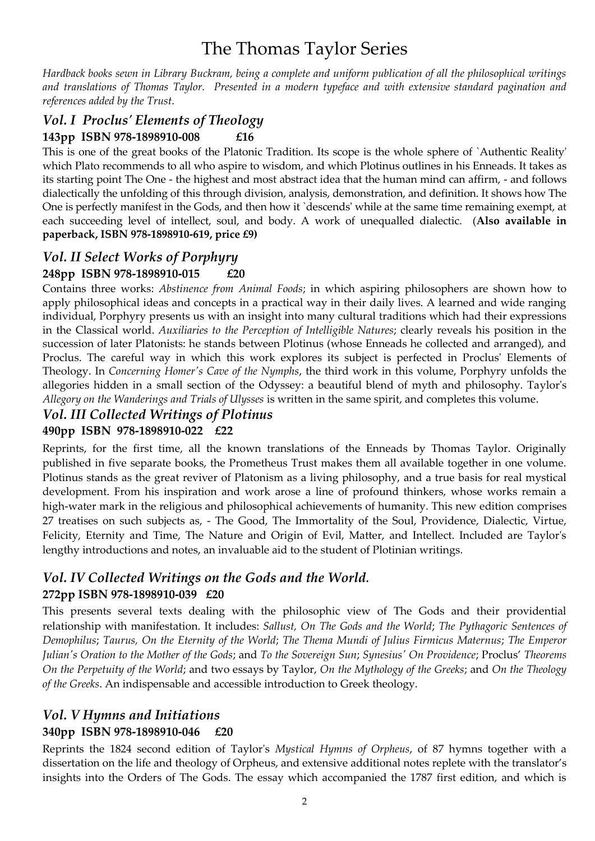# The Thomas Taylor Series

*Hardback books sewn in Library Buckram, being a complete and uniform publication of all the philosophical writings and translations of Thomas Taylor. Presented in a modern typeface and with extensive standard pagination and references added by the Trust.*

# *Vol. I Proclus' Elements of Theology*

## **143pp ISBN 978-1898910-008 £16**

This is one of the great books of the Platonic Tradition. Its scope is the whole sphere of `Authentic Reality' which Plato recommends to all who aspire to wisdom, and which Plotinus outlines in his Enneads. It takes as its starting point The One - the highest and most abstract idea that the human mind can affirm, - and follows dialectically the unfolding of this through division, analysis, demonstration, and definition. It shows how The One is perfectly manifest in the Gods, and then how it `descends' while at the same time remaining exempt, at each succeeding level of intellect, soul, and body. A work of unequalled dialectic. (**Also available in paperback, ISBN 978-1898910-619, price £9)**

## *Vol. II Select Works of Porphyry*

## **248pp ISBN 978-1898910-015 £20**

Contains three works: *Abstinence from Animal Foods*; in which aspiring philosophers are shown how to apply philosophical ideas and concepts in a practical way in their daily lives. A learned and wide ranging individual, Porphyry presents us with an insight into many cultural traditions which had their expressions in the Classical world. *Auxiliaries to the Perception of Intelligible Natures*; clearly reveals his position in the succession of later Platonists: he stands between Plotinus (whose Enneads he collected and arranged), and Proclus. The careful way in which this work explores its subject is perfected in Proclus' Elements of Theology. In *Concerning Homer's Cave of the Nymphs*, the third work in this volume, Porphyry unfolds the allegories hidden in a small section of the Odyssey: a beautiful blend of myth and philosophy. Taylor's *Allegory on the Wanderings and Trials of Ulysses* is written in the same spirit, and completes this volume.

#### *Vol. III Collected Writings of Plotinus* **490pp ISBN 978-1898910-022 £22**

Reprints, for the first time, all the known translations of the Enneads by Thomas Taylor. Originally published in five separate books, the Prometheus Trust makes them all available together in one volume. Plotinus stands as the great reviver of Platonism as a living philosophy, and a true basis for real mystical development. From his inspiration and work arose a line of profound thinkers, whose works remain a high-water mark in the religious and philosophical achievements of humanity. This new edition comprises 27 treatises on such subjects as, - The Good, The Immortality of the Soul, Providence, Dialectic, Virtue, Felicity, Eternity and Time, The Nature and Origin of Evil, Matter, and Intellect. Included are Taylor's lengthy introductions and notes, an invaluable aid to the student of Plotinian writings.

## *Vol. IV Collected Writings on the Gods and the World.* **272pp ISBN 978-1898910-039 £20**

This presents several texts dealing with the philosophic view of The Gods and their providential relationship with manifestation. It includes: *Sallust, On The Gods and the World*; *The Pythagoric Sentences of Demophilus*; *Taurus, On the Eternity of the World*; *The Thema Mundi of Julius Firmicus Maternus*; *The Emperor Julian's Oration to the Mother of the Gods*; and *To the Sovereign Sun*; *Synesius' On Providence*; Proclus' *Theorems On the Perpetuity of the World*; and two essays by Taylor, *On the Mythology of the Greeks*; and *On the Theology of the Greeks*. An indispensable and accessible introduction to Greek theology.

# *Vol. V Hymns and Initiations*

## **340pp ISBN 978-1898910-046 £20**

Reprints the 1824 second edition of Taylor's *Mystical Hymns of Orpheus*, of 87 hymns together with a dissertation on the life and theology of Orpheus, and extensive additional notes replete with the translator's insights into the Orders of The Gods. The essay which accompanied the 1787 first edition, and which is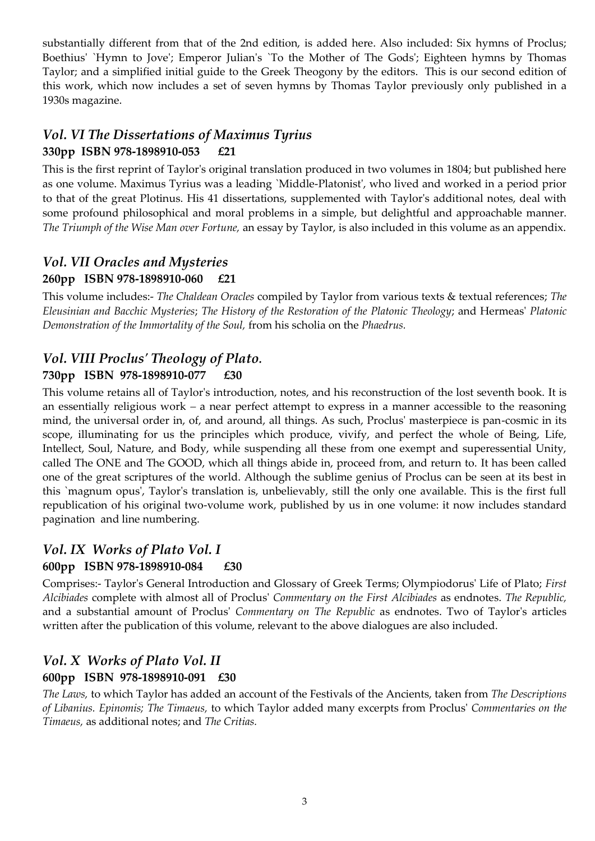substantially different from that of the 2nd edition, is added here. Also included: Six hymns of Proclus; Boethius' `Hymn to Jove'; Emperor Julian's `To the Mother of The Gods'; Eighteen hymns by Thomas Taylor; and a simplified initial guide to the Greek Theogony by the editors. This is our second edition of this work, which now includes a set of seven hymns by Thomas Taylor previously only published in a 1930s magazine.

## *Vol. VI The Dissertations of Maximus Tyrius* **330pp ISBN 978-1898910-053 £21**

This is the first reprint of Taylor's original translation produced in two volumes in 1804; but published here as one volume. Maximus Tyrius was a leading `Middle-Platonist', who lived and worked in a period prior to that of the great Plotinus. His 41 dissertations, supplemented with Taylor's additional notes, deal with some profound philosophical and moral problems in a simple, but delightful and approachable manner. *The Triumph of the Wise Man over Fortune,* an essay by Taylor, is also included in this volume as an appendix.

# *Vol. VII Oracles and Mysteries* **260pp ISBN 978-1898910-060 £21**

This volume includes:- *The Chaldean Oracles* compiled by Taylor from various texts & textual references; *The Eleusinian and Bacchic Mysteries*; *The History of the Restoration of the Platonic Theology*; and Hermeas' *Platonic Demonstration of the Immortality of the Soul,* from his scholia on the *Phaedrus.*

# *Vol. VIII Proclus' Theology of Plato.* **730pp ISBN 978-1898910-077 £30**

This volume retains all of Taylor's introduction, notes, and his reconstruction of the lost seventh book. It is an essentially religious work *–* a near perfect attempt to express in a manner accessible to the reasoning mind, the universal order in, of, and around, all things. As such, Proclus' masterpiece is pan-cosmic in its scope, illuminating for us the principles which produce, vivify, and perfect the whole of Being, Life, Intellect, Soul, Nature, and Body, while suspending all these from one exempt and superessential Unity, called The ONE and The GOOD, which all things abide in, proceed from, and return to. It has been called one of the great scriptures of the world. Although the sublime genius of Proclus can be seen at its best in this `magnum opus', Taylor's translation is, unbelievably, still the only one available. This is the first full republication of his original two-volume work, published by us in one volume: it now includes standard pagination and line numbering.

## *Vol. IX Works of Plato Vol. I* **600pp ISBN 978-1898910-084 £30**

Comprises:- Taylor's General Introduction and Glossary of Greek Terms; Olympiodorus' Life of Plato; *First Alcibiades* complete with almost all of Proclus' *Commentary on the First Alcibiades* as endnotes. *The Republic,* and a substantial amount of Proclus' *Commentary on The Republic* as endnotes. Two of Taylor's articles written after the publication of this volume, relevant to the above dialogues are also included.

## *Vol. X Works of Plato Vol. II* **600pp ISBN 978-1898910-091 £30**

*The Laws,* to which Taylor has added an account of the Festivals of the Ancients, taken from *The Descriptions of Libanius. Epinomis; The Timaeus,* to which Taylor added many excerpts from Proclus' *Commentaries on the Timaeus,* as additional notes; and *The Critias.*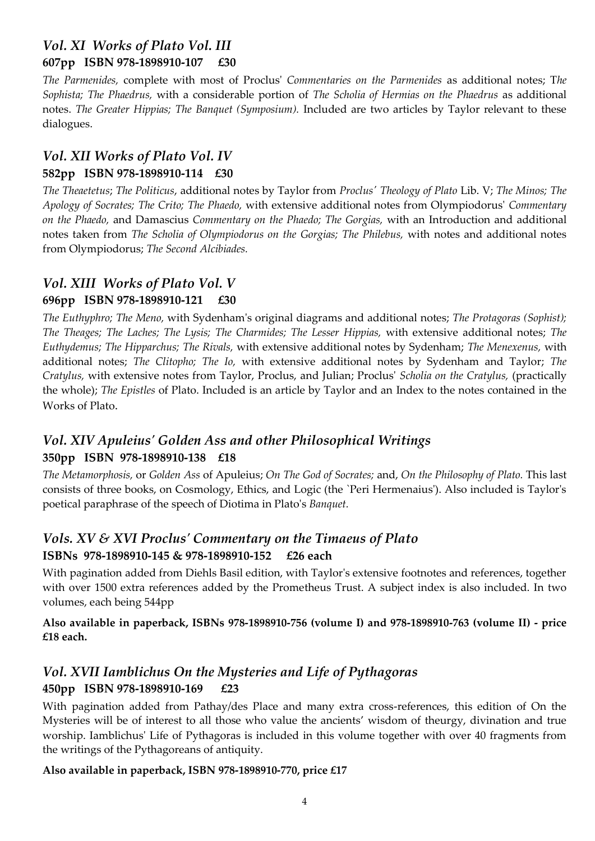# *Vol. XI Works of Plato Vol. III* **607pp ISBN 978-1898910-107 £30**

*The Parmenides,* complete with most of Proclus' *Commentaries on the Parmenides* as additional notes; T*he Sophista; The Phaedrus,* with a considerable portion of *The Scholia of Hermias on the Phaedrus* as additional notes. *The Greater Hippias; The Banquet (Symposium).* Included are two articles by Taylor relevant to these dialogues.

## *Vol. XII Works of Plato Vol. IV* **582pp ISBN 978-1898910-114 £30**

*The Theaetetus*; *The Politicus*, additional notes by Taylor from *Proclus' Theology of Plato* Lib. V; *The Minos; The Apology of Socrates; The Crito; The Phaedo,* with extensive additional notes from Olympiodorus' *Commentary on the Phaedo,* and Damascius *Commentary on the Phaedo; The Gorgias,* with an Introduction and additional notes taken from *The Scholia of Olympiodorus on the Gorgias; The Philebus,* with notes and additional notes from Olympiodorus; *The Second Alcibiades.*

# *Vol. XIII Works of Plato Vol. V* **696pp ISBN 978-1898910-121 £30**

*The Euthyphro; The Meno,* with Sydenham's original diagrams and additional notes; *The Protagoras (Sophist); The Theages; The Laches; The Lysis; The Charmides; The Lesser Hippias,* with extensive additional notes; *The Euthydemus; The Hipparchus; The Rivals,* with extensive additional notes by Sydenham; *The Menexenus,* with additional notes; *The Clitopho; The Io,* with extensive additional notes by Sydenham and Taylor; *The Cratylus,* with extensive notes from Taylor, Proclus, and Julian; Proclus' *Scholia on the Cratylus,* (practically the whole); *The Epistles* of Plato. Included is an article by Taylor and an Index to the notes contained in the Works of Plato.

# *Vol. XIV Apuleius' Golden Ass and other Philosophical Writings* **350pp ISBN 978-1898910-138 £18**

*The Metamorphosis,* or *Golden Ass* of Apuleius; *On The God of Socrates;* and, *On the Philosophy of Plato.* This last consists of three books, on Cosmology, Ethics, and Logic (the `Peri Hermenaius'). Also included is Taylor's poetical paraphrase of the speech of Diotima in Plato's *Banquet.*

# *Vols. XV & XVI Proclus' Commentary on the Timaeus of Plato* **ISBNs 978-1898910-145 & 978-1898910-152 £26 each**

With pagination added from Diehls Basil edition, with Taylor's extensive footnotes and references, together with over 1500 extra references added by the Prometheus Trust. A subject index is also included. In two volumes, each being 544pp

#### **Also available in paperback, ISBNs 978-1898910-756 (volume I) and 978-1898910-763 (volume II) - price £18 each.**

# *Vol. XVII Iamblichus On the Mysteries and Life of Pythagoras* **450pp ISBN 978-1898910-169 £23**

With pagination added from Pathay/des Place and many extra cross-references, this edition of On the Mysteries will be of interest to all those who value the ancients' wisdom of theurgy, divination and true worship. Iamblichus' Life of Pythagoras is included in this volume together with over 40 fragments from the writings of the Pythagoreans of antiquity.

#### **Also available in paperback, ISBN 978-1898910-770, price £17**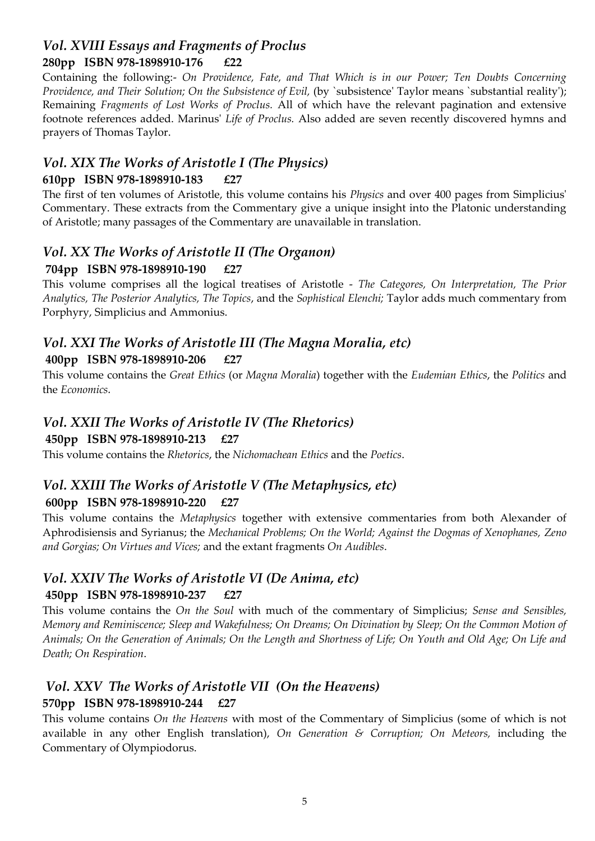### *Vol. XVIII Essays and Fragments of Proclus* **280pp ISBN 978-1898910-176 £22**

Containing the following:- *On Providence, Fate, and That Which is in our Power; Ten Doubts Concerning Providence, and Their Solution; On the Subsistence of Evil,* (by `subsistence' Taylor means `substantial reality'); Remaining *Fragments of Lost Works of Proclus.* All of which have the relevant pagination and extensive footnote references added. Marinus' *Life of Proclus.* Also added are seven recently discovered hymns and prayers of Thomas Taylor.

# *Vol. XIX The Works of Aristotle I (The Physics)*

# **610pp ISBN 978-1898910-183 £27**

The first of ten volumes of Aristotle, this volume contains his *Physics* and over 400 pages from Simplicius' Commentary. These extracts from the Commentary give a unique insight into the Platonic understanding of Aristotle; many passages of the Commentary are unavailable in translation.

# *Vol. XX The Works of Aristotle II (The Organon)*

## **704pp ISBN 978-1898910-190 £27**

This volume comprises all the logical treatises of Aristotle - *The Categores, On Interpretation, The Prior Analytics, The Posterior Analytics, The Topics*, and the *Sophistical Elenchi;* Taylor adds much commentary from Porphyry, Simplicius and Ammonius.

## *Vol. XXI The Works of Aristotle III (The Magna Moralia, etc)* **400pp ISBN 978-1898910-206 £27**

This volume contains the *Great Ethics* (or *Magna Moralia*) together with the *Eudemian Ethics*, the *Politics* and the *Economics.*

# *Vol. XXII The Works of Aristotle IV (The Rhetorics)*

#### **450pp ISBN 978-1898910-213 £27**

This volume contains the *Rhetorics*, the *Nichomachean Ethics* and the *Poetics*.

## *Vol. XXIII The Works of Aristotle V (The Metaphysics, etc)* **600pp ISBN 978-1898910-220 £27**

This volume contains the *Metaphysics* together with extensive commentaries from both Alexander of Aphrodisiensis and Syrianus; the *Mechanical Problems; On the World; Against the Dogmas of Xenophanes, Zeno and Gorgias; On Virtues and Vices;* and the extant fragments *On Audibles*.

# *Vol. XXIV The Works of Aristotle VI (De Anima, etc)* **450pp ISBN 978-1898910-237 £27**

This volume contains the *On the Soul* with much of the commentary of Simplicius; *Sense and Sensibles, Memory and Reminiscence; Sleep and Wakefulness; On Dreams; On Divination by Sleep; On the Common Motion of Animals; On the Generation of Animals; On the Length and Shortness of Life; On Youth and Old Age; On Life and Death; On Respiration*.

# *Vol. XXV The Works of Aristotle VII (On the Heavens)*

## **570pp ISBN 978-1898910-244 £27**

This volume contains *On the Heavens* with most of the Commentary of Simplicius (some of which is not available in any other English translation), *On Generation & Corruption; On Meteors,* including the Commentary of Olympiodorus.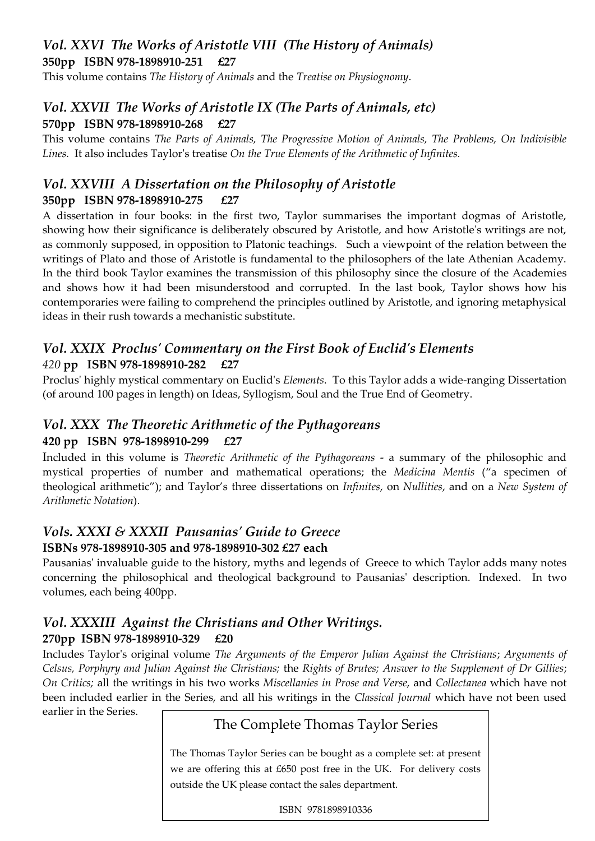## *Vol. XXVI The Works of Aristotle VIII (The History of Animals)* **350pp ISBN 978-1898910-251 £27**

This volume contains *The History of Animals* and the *Treatise on Physiognomy*.

## *Vol. XXVII The Works of Aristotle IX (The Parts of Animals, etc)* **570pp ISBN 978-1898910-268 £27**

This volume contains *The Parts of Animals, The Progressive Motion of Animals, The Problems, On Indivisible Lines.* It also includes Taylor's treatise *On the True Elements of the Arithmetic of Infinites.*

## *Vol. XXVIII A Dissertation on the Philosophy of Aristotle* **350pp ISBN 978-1898910-275 £27**

A dissertation in four books: in the first two, Taylor summarises the important dogmas of Aristotle, showing how their significance is deliberately obscured by Aristotle, and how Aristotle's writings are not, as commonly supposed, in opposition to Platonic teachings. Such a viewpoint of the relation between the writings of Plato and those of Aristotle is fundamental to the philosophers of the late Athenian Academy. In the third book Taylor examines the transmission of this philosophy since the closure of the Academies and shows how it had been misunderstood and corrupted. In the last book, Taylor shows how his contemporaries were failing to comprehend the principles outlined by Aristotle, and ignoring metaphysical ideas in their rush towards a mechanistic substitute.

### *Vol. XXIX Proclus' Commentary on the First Book of Euclid's Elements 420* **pp ISBN 978-1898910-282 £27**

Proclus' highly mystical commentary on Euclid's *Elements*. To this Taylor adds a wide-ranging Dissertation (of around 100 pages in length) on Ideas, Syllogism, Soul and the True End of Geometry.

# *Vol. XXX The Theoretic Arithmetic of the Pythagoreans* **420 pp ISBN 978-1898910-299 £27**

Included in this volume is *Theoretic Arithmetic of the Pythagoreans* - a summary of the philosophic and mystical properties of number and mathematical operations; the *Medicina Mentis* ('a specimen of theological arithmetic'); and Taylor's three dissertations on *Infinites*, on *Nullities*, and on a *New System of Arithmetic Notation*).

# *Vols. XXXI & XXXII Pausanias' Guide to Greece* **ISBNs 978-1898910-305 and 978-1898910-302 £27 each**

Pausanias' invaluable guide to the history, myths and legends of Greece to which Taylor adds many notes concerning the philosophical and theological background to Pausanias' description. Indexed. In two volumes, each being 400pp.

## *Vol. XXXIII Against the Christians and Other Writings.* **270pp ISBN 978-1898910-329 £20**

Includes Taylor's original volume *The Arguments of the Emperor Julian Against the Christians*; *Arguments of Celsus, Porphyry and Julian Against the Christians;* the *Rights of Brutes; Answer to the Supplement of Dr Gillies*; *On Critics;* all the writings in his two works *Miscellanies in Prose and Verse*, and *Collectanea* which have not been included earlier in the Series, and all his writings in the *Classical Journal* which have not been used

earlier in the Series.

# The Complete Thomas Taylor Series

The Thomas Taylor Series can be bought as a complete set: at present we are offering this at £650 post free in the UK. For delivery costs outside the UK please contact the sales department.

ISBN 9781898910336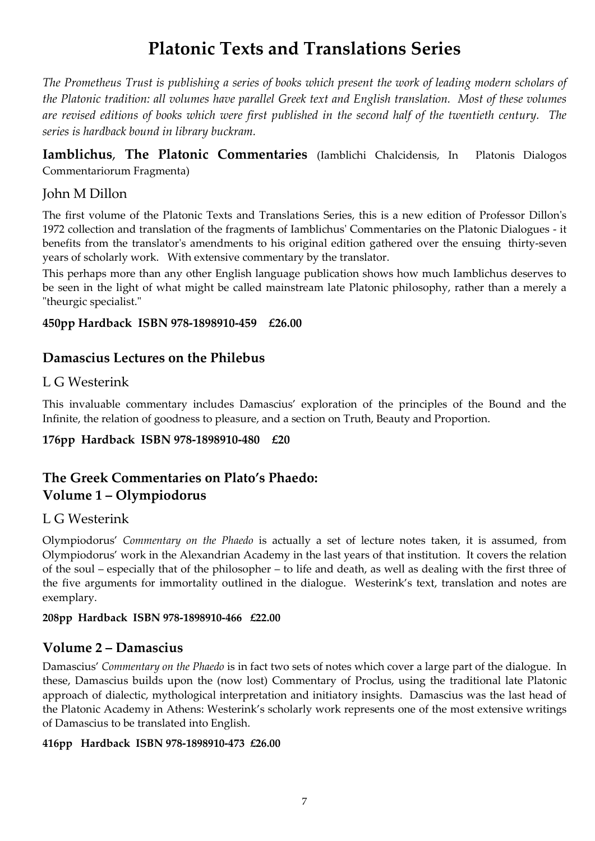# **Platonic Texts and Translations Series**

*The Prometheus Trust is publishing a series of books which present the work of leading modern scholars of the Platonic tradition: all volumes have parallel Greek text and English translation. Most of these volumes are revised editions of books which were first published in the second half of the twentieth century. The series is hardback bound in library buckram.*

**Iamblichus**, **The Platonic Commentaries** (Iamblichi Chalcidensis, In Platonis Dialogos Commentariorum Fragmenta)

## John M Dillon

The first volume of the Platonic Texts and Translations Series, this is a new edition of Professor Dillon's 1972 collection and translation of the fragments of Iamblichus' Commentaries on the Platonic Dialogues - it benefits from the translator's amendments to his original edition gathered over the ensuing thirty-seven years of scholarly work. With extensive commentary by the translator.

This perhaps more than any other English language publication shows how much Iamblichus deserves to be seen in the light of what might be called mainstream late Platonic philosophy, rather than a merely a "theurgic specialist."

#### **450pp Hardback ISBN 978-1898910-459 £26.00**

## **Damascius Lectures on the Philebus**

### L G Westerink

This invaluable commentary includes Damascius' exploration of the principles of the Bound and the Infinite, the relation of goodness to pleasure, and a section on Truth, Beauty and Proportion.

#### **176pp Hardback ISBN 978-1898910-480 £20**

# **The Greek Commentaries on Plato's Phaedo: Volume 1 – Olympiodorus**

## L G Westerink

Olympiodorus' *Commentary on the Phaedo* is actually a set of lecture notes taken, it is assumed, from Olympiodorus' work in the Alexandrian Academy in the last years of that institution. It covers the relation of the soul – especially that of the philosopher – to life and death, as well as dealing with the first three of the five arguments for immortality outlined in the dialogue. Westerink's text, translation and notes are exemplary.

#### **208pp Hardback ISBN 978-1898910-466 £22.00**

# **Volume 2 – Damascius**

Damascius' *Commentary on the Phaedo* is in fact two sets of notes which cover a large part of the dialogue. In these, Damascius builds upon the (now lost) Commentary of Proclus, using the traditional late Platonic approach of dialectic, mythological interpretation and initiatory insights. Damascius was the last head of the Platonic Academy in Athens: Westerink's scholarly work represents one of the most extensive writings of Damascius to be translated into English.

#### **416pp Hardback ISBN 978-1898910-473 £26.00**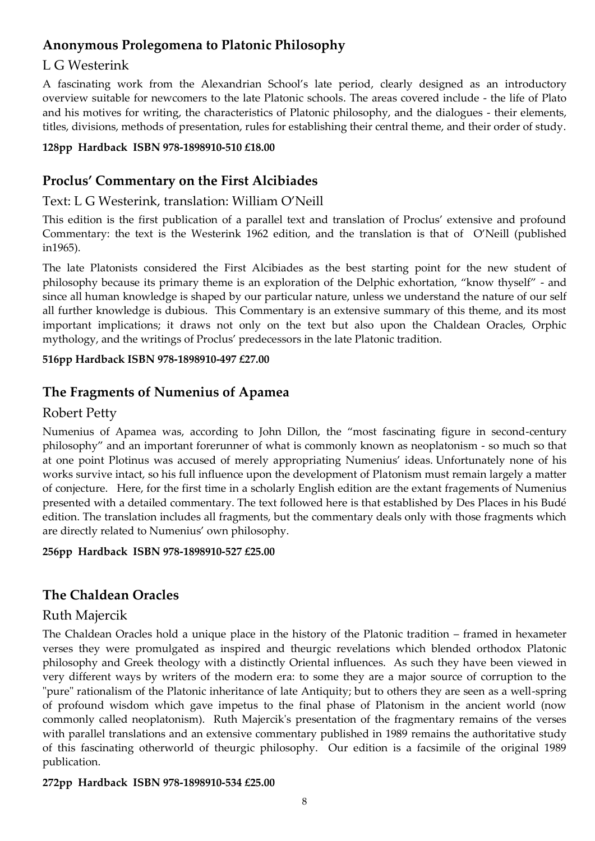## **Anonymous Prolegomena to Platonic Philosophy**

#### L G Westerink

A fascinating work from the Alexandrian School's late period, clearly designed as an introductory overview suitable for newcomers to the late Platonic schools. The areas covered include - the life of Plato and his motives for writing, the characteristics of Platonic philosophy, and the dialogues - their elements, titles, divisions, methods of presentation, rules for establishing their central theme, and their order of study.

#### **128pp Hardback ISBN 978-1898910-510 £18.00**

# **Proclus' Commentary on the First Alcibiades**

### Text: L G Westerink, translation: William O'Neill

This edition is the first publication of a parallel text and translation of Proclus' extensive and profound Commentary: the text is the Westerink 1962 edition, and the translation is that of O'Neill (published in1965).

The late Platonists considered the First Alcibiades as the best starting point for the new student of philosophy because its primary theme is an exploration of the Delphic exhortation, 'know thyself' - and since all human knowledge is shaped by our particular nature, unless we understand the nature of our self all further knowledge is dubious. This Commentary is an extensive summary of this theme, and its most important implications; it draws not only on the text but also upon the Chaldean Oracles, Orphic mythology, and the writings of Proclus' predecessors in the late Platonic tradition.

#### **516pp Hardback ISBN 978-1898910-497 £27.00**

## **The Fragments of Numenius of Apamea**

### Robert Petty

Numenius of Apamea was, according to John Dillon, the 'most fascinating figure in second-century philosophy' and an important forerunner of what is commonly known as neoplatonism - so much so that at one point Plotinus was accused of merely appropriating Numenius' ideas. Unfortunately none of his works survive intact, so his full influence upon the development of Platonism must remain largely a matter of conjecture. Here, for the first time in a scholarly English edition are the extant fragements of Numenius presented with a detailed commentary. The text followed here is that established by Des Places in his Budé edition. The translation includes all fragments, but the commentary deals only with those fragments which are directly related to Numenius' own philosophy.

#### **256pp Hardback ISBN 978-1898910-527 £25.00**

# **The Chaldean Oracles**

## Ruth Majercik

The Chaldean Oracles hold a unique place in the history of the Platonic tradition – framed in hexameter verses they were promulgated as inspired and theurgic revelations which blended orthodox Platonic philosophy and Greek theology with a distinctly Oriental influences. As such they have been viewed in very different ways by writers of the modern era: to some they are a major source of corruption to the "pure" rationalism of the Platonic inheritance of late Antiquity; but to others they are seen as a well-spring of profound wisdom which gave impetus to the final phase of Platonism in the ancient world (now commonly called neoplatonism). Ruth Majercik's presentation of the fragmentary remains of the verses with parallel translations and an extensive commentary published in 1989 remains the authoritative study of this fascinating otherworld of theurgic philosophy. Our edition is a facsimile of the original 1989 publication.

#### **272pp Hardback ISBN 978-1898910-534 £25.00**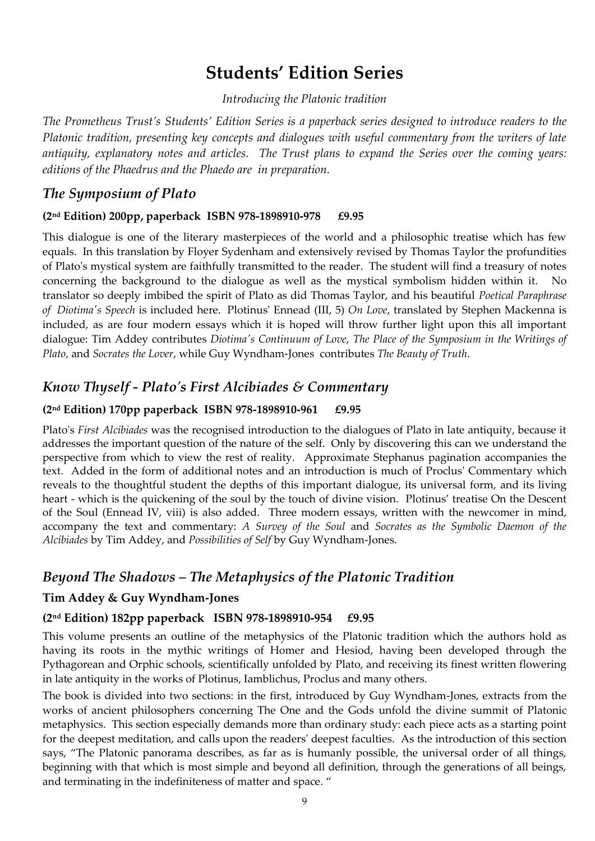# **Students' Edition Series**

*Introducing the Platonic tradition*

*The Prometheus Trust's Students' Edition Series is a paperback series designed to introduce readers to the Platonic tradition, presenting key concepts and dialogues with useful commentary from the writers of late antiquity, explanatory notes and articles. The Trust plans to expand the Series over the coming years: editions of the Phaedrus and the Phaedo are in preparation.* 

## *The Symposium of Plato*

#### **(2nd Edition) 200pp, paperback ISBN 978-1898910-978 £9.95**

This dialogue is one of the literary masterpieces of the world and a philosophic treatise which has few equals. In this translation by Floyer Sydenham and extensively revised by Thomas Taylor the profundities of Plato's mystical system are faithfully transmitted to the reader. The student will find a treasury of notes concerning the background to the dialogue as well as the mystical symbolism hidden within it. No translator so deeply imbibed the spirit of Plato as did Thomas Taylor, and his beautiful *Poetical Paraphrase of Diotima's Speech* is included here. Plotinus' Ennead (III, 5) *On Love*, translated by Stephen Mackenna is included, as are four modern essays which it is hoped will throw further light upon this all important dialogue: Tim Addey contributes *Diotima's Continuum of Love*, *The Place of the Symposium in the Writings of Plato*, and *Socrates the Lover*, while Guy Wyndham-Jones contributes *The Beauty of Truth*.

## *Know Thyself - Plato's First Alcibiades & Commentary*

#### **(2nd Edition) 170pp paperback ISBN 978-1898910-961 £9.95**

Plato's *First Alcibiades* was the recognised introduction to the dialogues of Plato in late antiquity, because it addresses the important question of the nature of the self. Only by discovering this can we understand the perspective from which to view the rest of reality. Approximate Stephanus pagination accompanies the text. Added in the form of additional notes and an introduction is much of Proclus' Commentary which reveals to the thoughtful student the depths of this important dialogue, its universal form, and its living heart - which is the quickening of the soul by the touch of divine vision. Plotinus' treatise On the Descent of the Soul (Ennead IV, viii) is also added. Three modern essays, written with the newcomer in mind, accompany the text and commentary: *A Survey of the Soul* and *Socrates as the Symbolic Daemon of the Alcibiades* by Tim Addey, and *Possibilities of Self* by Guy Wyndham-Jones.

## *Beyond The Shadows – The Metaphysics of the Platonic Tradition*

#### **Tim Addey & Guy Wyndham-Jones**

#### **(2nd Edition) 182pp paperback ISBN 978-1898910-954 £9.95**

This volume presents an outline of the metaphysics of the Platonic tradition which the authors hold as having its roots in the mythic writings of Homer and Hesiod, having been developed through the Pythagorean and Orphic schools, scientifically unfolded by Plato, and receiving its finest written flowering in late antiquity in the works of Plotinus, Iamblichus, Proclus and many others.

The book is divided into two sections: in the first, introduced by Guy Wyndham-Jones, extracts from the works of ancient philosophers concerning The One and the Gods unfold the divine summit of Platonic metaphysics. This section especially demands more than ordinary study: each piece acts as a starting point for the deepest meditation, and calls upon the readers' deepest faculties. As the introduction of this section says, 'The Platonic panorama describes, as far as is humanly possible, the universal order of all things, beginning with that which is most simple and beyond all definition, through the generations of all beings, and terminating in the indefiniteness of matter and space. '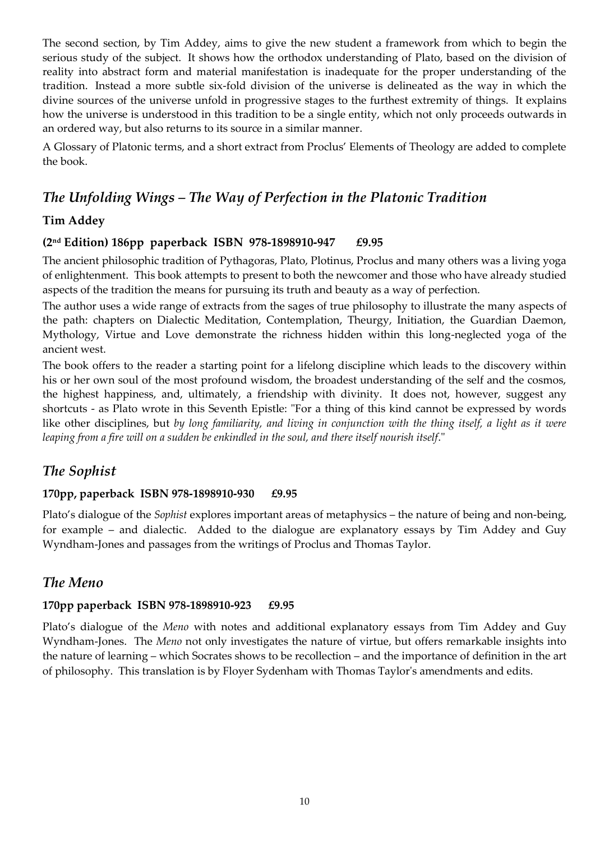The second section, by Tim Addey, aims to give the new student a framework from which to begin the serious study of the subject. It shows how the orthodox understanding of Plato, based on the division of reality into abstract form and material manifestation is inadequate for the proper understanding of the tradition. Instead a more subtle six-fold division of the universe is delineated as the way in which the divine sources of the universe unfold in progressive stages to the furthest extremity of things. It explains how the universe is understood in this tradition to be a single entity, which not only proceeds outwards in an ordered way, but also returns to its source in a similar manner.

A Glossary of Platonic terms, and a short extract from Proclus' Elements of Theology are added to complete the book.

# *The Unfolding Wings – The Way of Perfection in the Platonic Tradition*

#### **Tim Addey**

#### **(2nd Edition) 186pp paperback ISBN 978-1898910-947 £9.95**

The ancient philosophic tradition of Pythagoras, Plato, Plotinus, Proclus and many others was a living yoga of enlightenment. This book attempts to present to both the newcomer and those who have already studied aspects of the tradition the means for pursuing its truth and beauty as a way of perfection.

The author uses a wide range of extracts from the sages of true philosophy to illustrate the many aspects of the path: chapters on Dialectic Meditation, Contemplation, Theurgy, Initiation, the Guardian Daemon, Mythology, Virtue and Love demonstrate the richness hidden within this long-neglected yoga of the ancient west.

The book offers to the reader a starting point for a lifelong discipline which leads to the discovery within his or her own soul of the most profound wisdom, the broadest understanding of the self and the cosmos, the highest happiness, and, ultimately, a friendship with divinity. It does not, however, suggest any shortcuts - as Plato wrote in this Seventh Epistle: "For a thing of this kind cannot be expressed by words like other disciplines, but *by long familiarity, and living in conjunction with the thing itself, a light as it were leaping from a fire will on a sudden be enkindled in the soul, and there itself nourish itself*."

## *The Sophist*

#### **170pp, paperback ISBN 978-1898910-930 £9.95**

Plato's dialogue of the *Sophist* explores important areas of metaphysics – the nature of being and non-being, for example – and dialectic. Added to the dialogue are explanatory essays by Tim Addey and Guy Wyndham-Jones and passages from the writings of Proclus and Thomas Taylor.

## *The Meno*

#### **170pp paperback ISBN 978-1898910-923 £9.95**

Plato's dialogue of the *Meno* with notes and additional explanatory essays from Tim Addey and Guy Wyndham-Jones. The *Meno* not only investigates the nature of virtue, but offers remarkable insights into the nature of learning – which Socrates shows to be recollection – and the importance of definition in the art of philosophy. This translation is by Floyer Sydenham with Thomas Taylor's amendments and edits.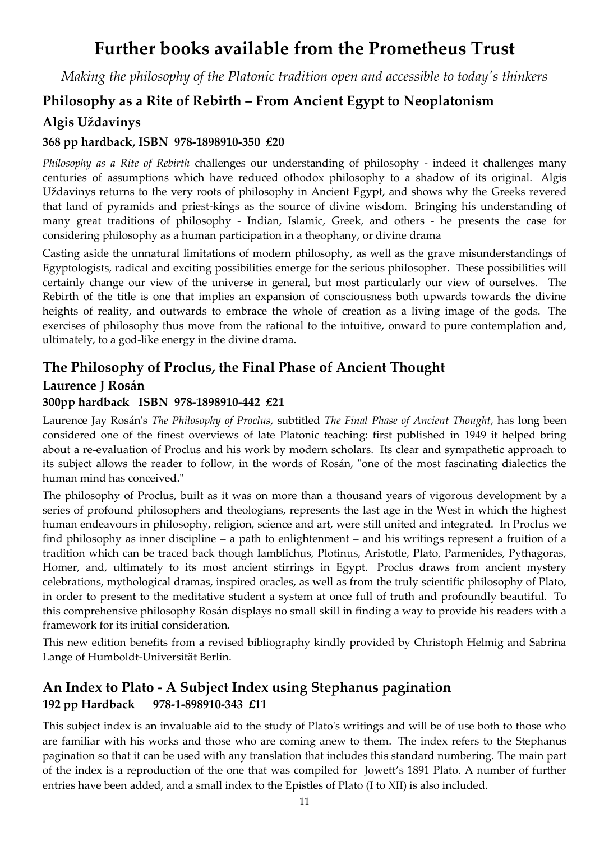# **Further books available from the Prometheus Trust**

*Making the philosophy of the Platonic tradition open and accessible to today's thinkers*

# **Philosophy as a Rite of Rebirth – From Ancient Egypt to Neoplatonism**

## **Algis Uždavinys**

#### **368 pp hardback, ISBN 978-1898910-350 £20**

*Philosophy as a Rite of Rebirth* challenges our understanding of philosophy - indeed it challenges many centuries of assumptions which have reduced othodox philosophy to a shadow of its original. Algis Uždavinys returns to the very roots of philosophy in Ancient Egypt, and shows why the Greeks revered that land of pyramids and priest-kings as the source of divine wisdom. Bringing his understanding of many great traditions of philosophy - Indian, Islamic, Greek, and others - he presents the case for considering philosophy as a human participation in a theophany, or divine drama

Casting aside the unnatural limitations of modern philosophy, as well as the grave misunderstandings of Egyptologists, radical and exciting possibilities emerge for the serious philosopher. These possibilities will certainly change our view of the universe in general, but most particularly our view of ourselves. The Rebirth of the title is one that implies an expansion of consciousness both upwards towards the divine heights of reality, and outwards to embrace the whole of creation as a living image of the gods. The exercises of philosophy thus move from the rational to the intuitive, onward to pure contemplation and, ultimately, to a god-like energy in the divine drama.

# **The Philosophy of Proclus, the Final Phase of Ancient Thought**

**Laurence J Rosán**

#### **300pp hardback ISBN 978-1898910-442 £21**

Laurence Jay Rosán's *The Philosophy of Proclus*, subtitled *The Final Phase of Ancient Thought*, has long been considered one of the finest overviews of late Platonic teaching: first published in 1949 it helped bring about a re-evaluation of Proclus and his work by modern scholars. Its clear and sympathetic approach to its subject allows the reader to follow, in the words of Rosán, "one of the most fascinating dialectics the human mind has conceived."

The philosophy of Proclus, built as it was on more than a thousand years of vigorous development by a series of profound philosophers and theologians, represents the last age in the West in which the highest human endeavours in philosophy, religion, science and art, were still united and integrated. In Proclus we find philosophy as inner discipline – a path to enlightenment – and his writings represent a fruition of a tradition which can be traced back though Iamblichus, Plotinus, Aristotle, Plato, Parmenides, Pythagoras, Homer, and, ultimately to its most ancient stirrings in Egypt. Proclus draws from ancient mystery celebrations, mythological dramas, inspired oracles, as well as from the truly scientific philosophy of Plato, in order to present to the meditative student a system at once full of truth and profoundly beautiful. To this comprehensive philosophy Rosán displays no small skill in finding a way to provide his readers with a framework for its initial consideration.

This new edition benefits from a revised bibliography kindly provided by Christoph Helmig and Sabrina Lange of Humboldt-Universität Berlin.

# **An Index to Plato - A Subject Index using Stephanus pagination 192 pp Hardback 978-1-898910-343 £11**

This subject index is an invaluable aid to the study of Plato's writings and will be of use both to those who are familiar with his works and those who are coming anew to them. The index refers to the Stephanus pagination so that it can be used with any translation that includes this standard numbering. The main part of the index is a reproduction of the one that was compiled for Jowett's 1891 Plato. A number of further entries have been added, and a small index to the Epistles of Plato (I to XII) is also included.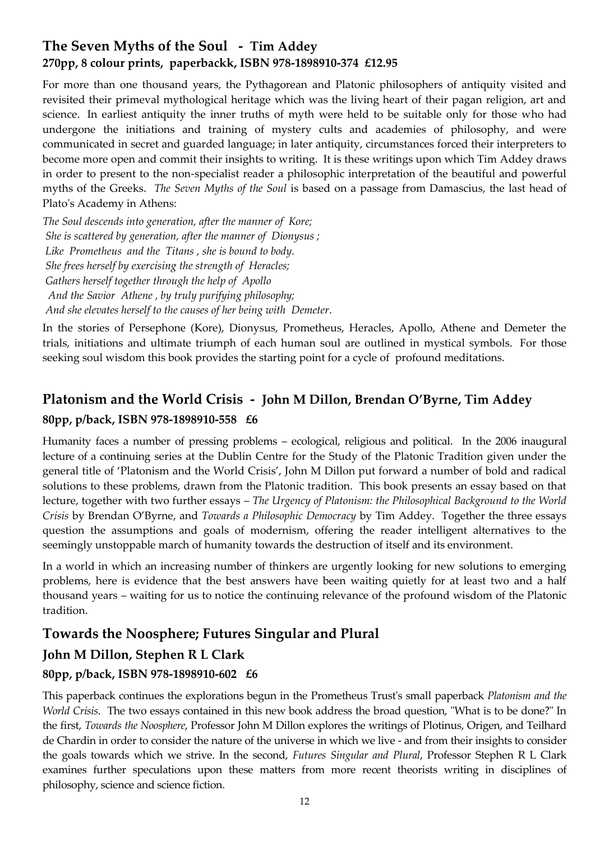# **The Seven Myths of the Soul - Tim Addey 270pp, 8 colour prints, paperbackk, ISBN 978-1898910-374 £12.95**

For more than one thousand years, the Pythagorean and Platonic philosophers of antiquity visited and revisited their primeval mythological heritage which was the living heart of their pagan religion, art and science. In earliest antiquity the inner truths of myth were held to be suitable only for those who had undergone the initiations and training of mystery cults and academies of philosophy, and were communicated in secret and guarded language; in later antiquity, circumstances forced their interpreters to become more open and commit their insights to writing. It is these writings upon which Tim Addey draws in order to present to the non-specialist reader a philosophic interpretation of the beautiful and powerful myths of the Greeks. *The Seven Myths of the Soul* is based on a passage from Damascius, the last head of Plato's Academy in Athens:

*The Soul descends into generation, after the manner of Kore; She is scattered by generation, after the manner of Dionysus ; Like Prometheus and the Titans , she is bound to body. She frees herself by exercising the strength of Heracles; Gathers herself together through the help of Apollo And the Savior Athene , by truly purifying philosophy; And she elevates herself to the causes of her being with Demeter*.

In the stories of Persephone (Kore), Dionysus, Prometheus, Heracles, Apollo, Athene and Demeter the trials, initiations and ultimate triumph of each human soul are outlined in mystical symbols. For those seeking soul wisdom this book provides the starting point for a cycle of profound meditations.

# **Platonism and the World Crisis - John M Dillon, Brendan O'Byrne, Tim Addey**

### **80pp, p/back, ISBN 978-1898910-558 £6**

Humanity faces a number of pressing problems – ecological, religious and political. In the 2006 inaugural lecture of a continuing series at the Dublin Centre for the Study of the Platonic Tradition given under the general title of 'Platonism and the World Crisis', John M Dillon put forward a number of bold and radical solutions to these problems, drawn from the Platonic tradition. This book presents an essay based on that lecture, together with two further essays – *The Urgency of Platonism: the Philosophical Background to the World Crisis* by Brendan O'Byrne, and *Towards a Philosophic Democracy* by Tim Addey. Together the three essays question the assumptions and goals of modernism, offering the reader intelligent alternatives to the seemingly unstoppable march of humanity towards the destruction of itself and its environment.

In a world in which an increasing number of thinkers are urgently looking for new solutions to emerging problems, here is evidence that the best answers have been waiting quietly for at least two and a half thousand years – waiting for us to notice the continuing relevance of the profound wisdom of the Platonic tradition.

# **Towards the Noosphere; Futures Singular and Plural**

# **John M Dillon, Stephen R L Clark**

## **80pp, p/back, ISBN 978-1898910-602 £6**

This paperback continues the explorations begun in the Prometheus Trust's small paperback *Platonism and the World Crisis*. The two essays contained in this new book address the broad question, "What is to be done?" In the first, *Towards the Noosphere*, Professor John M Dillon explores the writings of Plotinus, Origen, and Teilhard de Chardin in order to consider the nature of the universe in which we live - and from their insights to consider the goals towards which we strive. In the second, *Futures Singular and Plural*, Professor Stephen R L Clark examines further speculations upon these matters from more recent theorists writing in disciplines of philosophy, science and science fiction.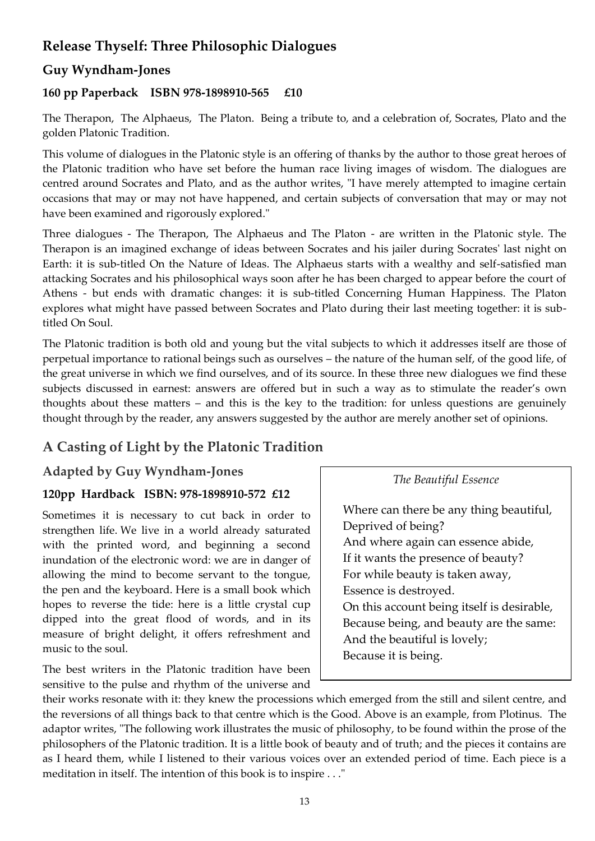# **Release Thyself: Three Philosophic Dialogues**

## **Guy Wyndham-Jones**

#### **160 pp Paperback ISBN 978-1898910-565 £10**

The Therapon, The Alphaeus, The Platon. Being a tribute to, and a celebration of, Socrates, Plato and the golden Platonic Tradition.

This volume of dialogues in the Platonic style is an offering of thanks by the author to those great heroes of the Platonic tradition who have set before the human race living images of wisdom. The dialogues are centred around Socrates and Plato, and as the author writes, "I have merely attempted to imagine certain occasions that may or may not have happened, and certain subjects of conversation that may or may not have been examined and rigorously explored."

Three dialogues - The Therapon, The Alphaeus and The Platon - are written in the Platonic style. The Therapon is an imagined exchange of ideas between Socrates and his jailer during Socrates' last night on Earth: it is sub-titled On the Nature of Ideas. The Alphaeus starts with a wealthy and self-satisfied man attacking Socrates and his philosophical ways soon after he has been charged to appear before the court of Athens - but ends with dramatic changes: it is sub-titled Concerning Human Happiness. The Platon explores what might have passed between Socrates and Plato during their last meeting together: it is subtitled On Soul.

The Platonic tradition is both old and young but the vital subjects to which it addresses itself are those of perpetual importance to rational beings such as ourselves – the nature of the human self, of the good life, of the great universe in which we find ourselves, and of its source. In these three new dialogues we find these subjects discussed in earnest: answers are offered but in such a way as to stimulate the reader's own thoughts about these matters – and this is the key to the tradition: for unless questions are genuinely thought through by the reader, any answers suggested by the author are merely another set of opinions.

# **A Casting of Light by the Platonic Tradition**

#### **Adapted by Guy Wyndham-Jones**

#### **120pp Hardback ISBN: 978-1898910-572 £12**

Sometimes it is necessary to cut back in order to strengthen life. We live in a world already saturated with the printed word, and beginning a second inundation of the electronic word: we are in danger of allowing the mind to become servant to the tongue, the pen and the keyboard. Here is a small book which hopes to reverse the tide: here is a little crystal cup dipped into the great flood of words, and in its measure of bright delight, it offers refreshment and music to the soul.

The best writers in the Platonic tradition have been sensitive to the pulse and rhythm of the universe and *The Beautiful Essence*

 Where can there be any thing beautiful, Deprived of being? And where again can essence abide, If it wants the presence of beauty? For while beauty is taken away, Essence is destroyed. On this account being itself is desirable, Because being, and beauty are the same: And the beautiful is lovely; Because it is being.

their works resonate with it: they knew the processions which emerged from the still and silent centre, and the reversions of all things back to that centre which is the Good. Above is an example, from Plotinus. The adaptor writes, "The following work illustrates the music of philosophy, to be found within the prose of the philosophers of the Platonic tradition. It is a little book of beauty and of truth; and the pieces it contains are as I heard them, while I listened to their various voices over an extended period of time. Each piece is a meditation in itself. The intention of this book is to inspire . . ."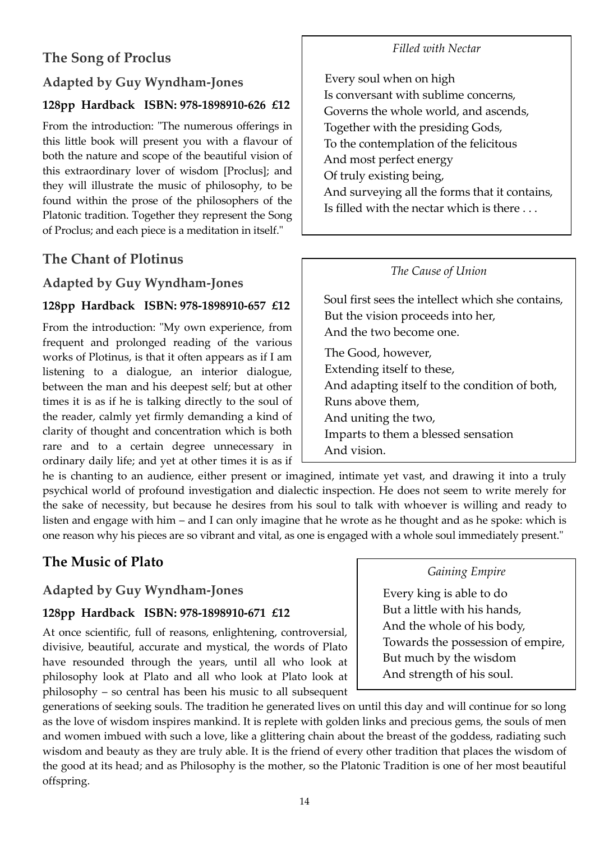# **The Song of Proclus**

# **Adapted by Guy Wyndham-Jones**

#### **128pp Hardback ISBN: 978-1898910-626 £12**

From the introduction: "The numerous offerings in this little book will present you with a flavour of both the nature and scope of the beautiful vision of this extraordinary lover of wisdom [Proclus]; and they will illustrate the music of philosophy, to be found within the prose of the philosophers of the Platonic tradition. Together they represent the Song of Proclus; and each piece is a meditation in itself."

## **The Chant of Plotinus**

### **Adapted by Guy Wyndham-Jones**

#### **128pp Hardback ISBN: 978-1898910-657 £12**

From the introduction: "My own experience, from frequent and prolonged reading of the various works of Plotinus, is that it often appears as if I am listening to a dialogue, an interior dialogue, between the man and his deepest self; but at other times it is as if he is talking directly to the soul of the reader, calmly yet firmly demanding a kind of clarity of thought and concentration which is both rare and to a certain degree unnecessary in ordinary daily life; and yet at other times it is as if

he is chanting to an audience, either present or imagined, intimate yet vast, and drawing it into a truly psychical world of profound investigation and dialectic inspection. He does not seem to write merely for the sake of necessity, but because he desires from his soul to talk with whoever is willing and ready to listen and engage with him – and I can only imagine that he wrote as he thought and as he spoke: which is one reason why his pieces are so vibrant and vital, as one is engaged with a whole soul immediately present."

# **The Music of Plato**

#### **Adapted by Guy Wyndham-Jones**

#### **128pp Hardback ISBN: 978-1898910-671 £12**

At once scientific, full of reasons, enlightening, controversial, divisive, beautiful, accurate and mystical, the words of Plato have resounded through the years, until all who look at philosophy look at Plato and all who look at Plato look at philosophy – so central has been his music to all subsequent

generations of seeking souls. The tradition he generated lives on until this day and will continue for so long as the love of wisdom inspires mankind. It is replete with golden links and precious gems, the souls of men and women imbued with such a love, like a glittering chain about the breast of the goddess, radiating such wisdom and beauty as they are truly able. It is the friend of every other tradition that places the wisdom of the good at its head; and as Philosophy is the mother, so the Platonic Tradition is one of her most beautiful offspring.

#### *Filled with Nectar*

 Every soul when on high Is conversant with sublime concerns, Governs the whole world, and ascends, Together with the presiding Gods, To the contemplation of the felicitous And most perfect energy Of truly existing being, And surveying all the forms that it contains, Is filled with the nectar which is there . . .

#### *The Cause of Union*

Soul first sees the intellect which she contains, But the vision proceeds into her, And the two become one. The Good, however, Extending itself to these, And adapting itself to the condition of both, Runs above them, And uniting the two, Imparts to them a blessed sensation And vision.

#### *Gaining Empire*

 Every king is able to do But a little with his hands, And the whole of his body, Towards the possession of empire, But much by the wisdom And strength of his soul.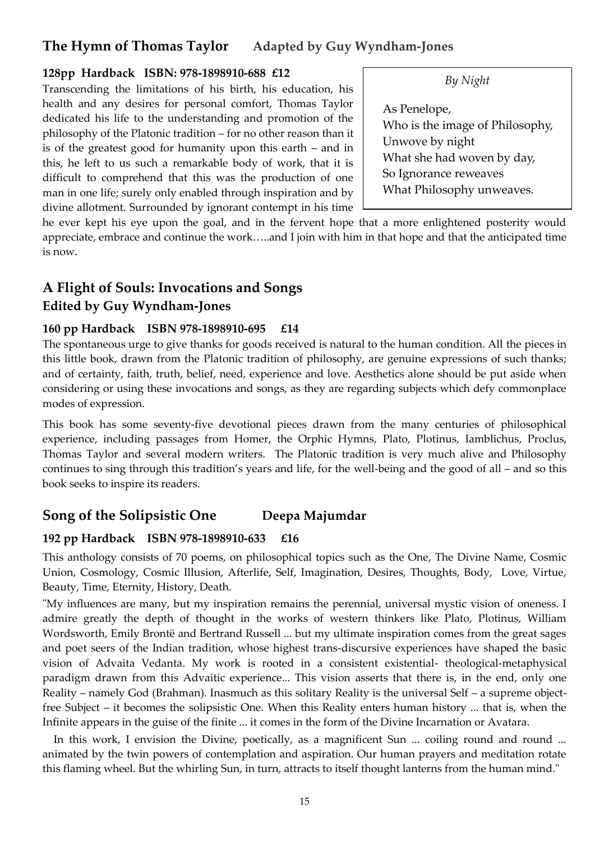# **The Hymn of Thomas Taylor****Adapted by Guy Wyndham-Jones**

#### **128pp Hardback ISBN: 978-1898910-688 £12**

Transcending the limitations of his birth, his education, his health and any desires for personal comfort, Thomas Taylor dedicated his life to the understanding and promotion of the philosophy of the Platonic tradition – for no other reason than it is of the greatest good for humanity upon this earth – and in this, he left to us such a remarkable body of work, that it is difficult to comprehend that this was the production of one man in one life; surely only enabled through inspiration and by divine allotment. Surrounded by ignorant contempt in his time

*By Night*

As Penelope, Who is the image of Philosophy, Unwove by night What she had woven by day, So Ignorance reweaves What Philosophy unweaves*.* 

 *Hence Philosophy dissolves the soul*  he ever kept his eye upon the goal, and in the fervent hope that a more enlightened posterity would appreciate, embrace and continue the work.....and I join with him in that hope and that the anticipated time is now.

# **A Flight of Souls: Invocations and Songs Edited by Guy Wyndham-Jones**

#### **160 pp Hardback ISBN 978-1898910-695 £14**

The spontaneous urge to give thanks for goods received is natural to the human condition. All the pieces in this little book, drawn from the Platonic tradition of philosophy, are genuine expressions of such thanks; and of certainty, faith, truth, belief, need, experience and love. Aesthetics alone should be put aside when considering or using these invocations and songs, as they are regarding subjects which defy commonplace modes of expression.

This book has some seventy-five devotional pieces drawn from the many centuries of philosophical experience, including passages from Homer, the Orphic Hymns, Plato, Plotinus, Iamblichus, Proclus, Thomas Taylor and several modern writers. The Platonic tradition is very much alive and Philosophy continues to sing through this tradition's years and life, for the well-being and the good of all – and so this book seeks to inspire its readers.

# **Song of the Solipsistic One Deepa Majumdar**

#### **192 pp Hardback ISBN 978-1898910-633 £16**

This anthology consists of 70 poems, on philosophical topics such as the One, The Divine Name, Cosmic Union, Cosmology, Cosmic Illusion, Afterlife, Self, Imagination, Desires, Thoughts, Body, Love, Virtue, Beauty, Time, Eternity, History, Death.

"My influences are many, but my inspiration remains the perennial, universal mystic vision of oneness. I admire greatly the depth of thought in the works of western thinkers like Plato, Plotinus, William Wordsworth, Emily Brontë and Bertrand Russell ... but my ultimate inspiration comes from the great sages and poet seers of the Indian tradition, whose highest trans-discursive experiences have shaped the basic vision of Advaita Vedanta. My work is rooted in a consistent existential- theological-metaphysical paradigm drawn from this Advaitic experience... This vision asserts that there is, in the end, only one Reality – namely God (Brahman). Inasmuch as this solitary Reality is the universal Self – a supreme objectfree Subject – it becomes the solipsistic One. When this Reality enters human history ... that is, when the Infinite appears in the guise of the finite ... it comes in the form of the Divine Incarnation or Avatara.

 In this work, I envision the Divine, poetically, as a magnificent Sun ... coiling round and round ... animated by the twin powers of contemplation and aspiration. Our human prayers and meditation rotate this flaming wheel. But the whirling Sun, in turn, attracts to itself thought lanterns from the human mind."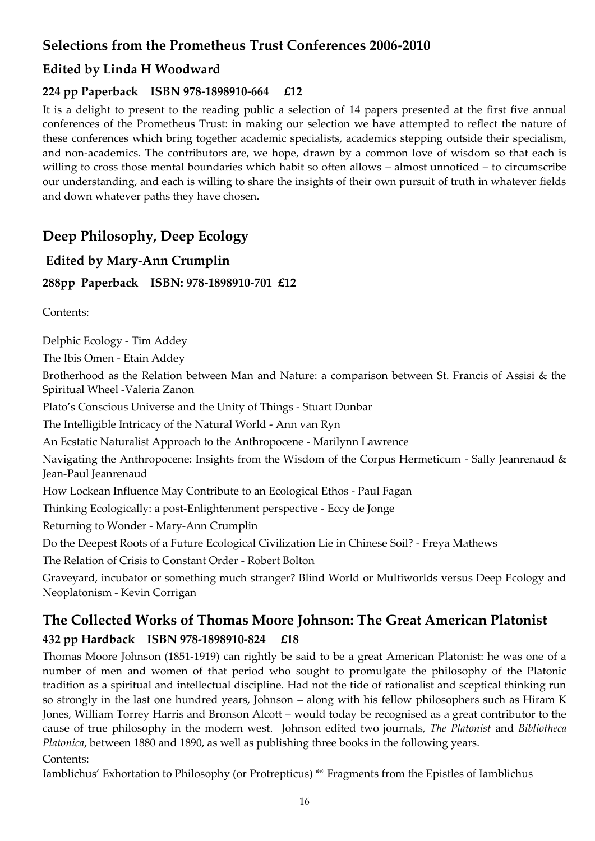# **Selections from the Prometheus Trust Conferences 2006-2010**

## **Edited by Linda H Woodward**

#### **224 pp Paperback ISBN 978-1898910-664 £12**

It is a delight to present to the reading public a selection of 14 papers presented at the first five annual conferences of the Prometheus Trust: in making our selection we have attempted to reflect the nature of these conferences which bring together academic specialists, academics stepping outside their specialism, and non-academics. The contributors are, we hope, drawn by a common love of wisdom so that each is willing to cross those mental boundaries which habit so often allows – almost unnoticed – to circumscribe our understanding, and each is willing to share the insights of their own pursuit of truth in whatever fields and down whatever paths they have chosen.

# **Deep Philosophy, Deep Ecology**

## **Edited by Mary-Ann Crumplin**

**288pp Paperback ISBN: 978-1898910-701 £12**

Contents:

Delphic Ecology - Tim Addey

The Ibis Omen - Etain Addey

Brotherhood as the Relation between Man and Nature: a comparison between St. Francis of Assisi & the Spiritual Wheel -Valeria Zanon

Plato's Conscious Universe and the Unity of Things - Stuart Dunbar

The Intelligible Intricacy of the Natural World - Ann van Ryn

An Ecstatic Naturalist Approach to the Anthropocene - Marilynn Lawrence

Navigating the Anthropocene: Insights from the Wisdom of the Corpus Hermeticum - Sally Jeanrenaud & Jean-Paul Jeanrenaud

How Lockean Influence May Contribute to an Ecological Ethos - Paul Fagan

Thinking Ecologically: a post-Enlightenment perspective - Eccy de Jonge

Returning to Wonder - Mary-Ann Crumplin

Do the Deepest Roots of a Future Ecological Civilization Lie in Chinese Soil? - Freya Mathews

The Relation of Crisis to Constant Order - Robert Bolton

Graveyard, incubator or something much stranger? Blind World or Multiworlds versus Deep Ecology and Neoplatonism - Kevin Corrigan

# **The Collected Works of Thomas Moore Johnson: The Great American Platonist 432 pp Hardback ISBN 978-1898910-824 £18**

Thomas Moore Johnson (1851-1919) can rightly be said to be a great American Platonist: he was one of a number of men and women of that period who sought to promulgate the philosophy of the Platonic tradition as a spiritual and intellectual discipline. Had not the tide of rationalist and sceptical thinking run so strongly in the last one hundred years, Johnson – along with his fellow philosophers such as Hiram K Jones, William Torrey Harris and Bronson Alcott – would today be recognised as a great contributor to the cause of true philosophy in the modern west. Johnson edited two journals, *The Platonist* and *Bibliotheca Platonica*, between 1880 and 1890, as well as publishing three books in the following years.

Contents:

Iamblichus' Exhortation to Philosophy (or Protrepticus) \*\* Fragments from the Epistles of Iamblichus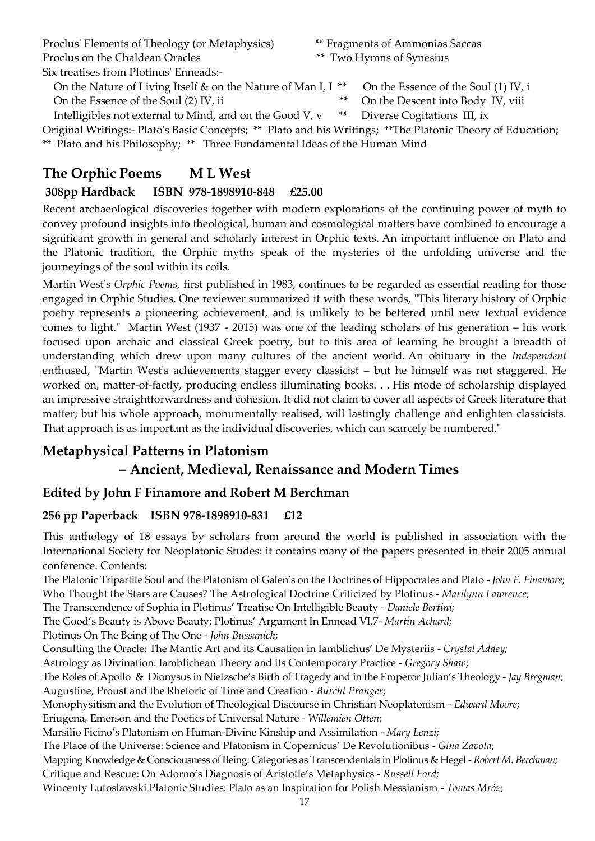Proclus' Elements of Theology (or Metaphysics) \*\* Fragments of Ammonias Saccas Proclus on the Chaldean Oracles \*\* Two Hymns of Synesius

- 
- 

Six treatises from Plotinus' Enneads:-

On the Nature of Living Itself & on the Nature of Man I, I \*\* On the Essence of the Soul (1) IV, i

On the Essence of the Soul (2) IV, ii  $\star$  the Descent into Body IV, viii

Intelligibles not external to Mind, and on the Good V, v \*\* Diverse Cogitations III, ix

Original Writings:- Plato's Basic Concepts; \*\* Plato and his Writings; \*\*The Platonic Theory of Education; \*\* Plato and his Philosophy; \*\* Three Fundamental Ideas of the Human Mind

# **The Orphic Poems M L West**

## **308pp Hardback ISBN 978-1898910-848 £25.00**

Recent archaeological discoveries together with modern explorations of the continuing power of myth to convey profound insights into theological, human and cosmological matters have combined to encourage a significant growth in general and scholarly interest in Orphic texts. An important influence on Plato and the Platonic tradition, the Orphic myths speak of the mysteries of the unfolding universe and the journeyings of the soul within its coils.

Martin West's *Orphic Poems,* first published in 1983, continues to be regarded as essential reading for those engaged in Orphic Studies. One reviewer summarized it with these words, "This literary history of Orphic poetry represents a pioneering achievement, and is unlikely to be bettered until new textual evidence comes to light." Martin West (1937 - 2015) was one of the leading scholars of his generation – his work focused upon archaic and classical Greek poetry, but to this area of learning he brought a breadth of understanding which drew upon many cultures of the ancient world. An obituary in the *Independent*  enthused, "Martin West's achievements stagger every classicist – but he himself was not staggered. He worked on, matter-of-factly, producing endless illuminating books. . . His mode of scholarship displayed an impressive straightforwardness and cohesion. It did not claim to cover all aspects of Greek literature that matter; but his whole approach, monumentally realised, will lastingly challenge and enlighten classicists. That approach is as important as the individual discoveries, which can scarcely be numbered."

# **Metaphysical Patterns in Platonism**

# **– Ancient, Medieval, Renaissance and Modern Times**

# **Edited by John F Finamore and Robert M Berchman**

# **256 pp Paperback ISBN 978-1898910-831 £12**

This anthology of 18 essays by scholars from around the world is published in association with the International Society for Neoplatonic Studes: it contains many of the papers presented in their 2005 annual conference. Contents:

The Platonic Tripartite Soul and the Platonism of Galen's on the Doctrines of Hippocrates and Plato - *John F. Finamore*; Who Thought the Stars are Causes? The Astrological Doctrine Criticized by Plotinus - *Marilynn Lawrence*;

The Transcendence of Sophia in Plotinus' Treatise On Intelligible Beauty - *Daniele Bertini;*

The Good's Beauty is Above Beauty: Plotinus' Argument In Ennead VI.7- *Martin Achard;*

Plotinus On The Being of The One - *John Bussanich*;

Consulting the Oracle: The Mantic Art and its Causation in Iamblichus' De Mysteriis - *Crystal Addey;* 

Astrology as Divination: Iamblichean Theory and its Contemporary Practice - *Gregory Shaw*;

The Roles of Apollo & Dionysus in Nietzsche's Birth of Tragedy and in the Emperor Julian's Theology - *Jay Bregman*; Augustine, Proust and the Rhetoric of Time and Creation - *Burcht Pranger*;

Monophysitism and the Evolution of Theological Discourse in Christian Neoplatonism - *Edward Moore;*

Eriugena, Emerson and the Poetics of Universal Nature - *Willemien Otten*;

Marsilio Ficino's Platonism on Human-Divine Kinship and Assimilation - *Mary Lenzi;* 

The Place of the Universe: Science and Platonism in Copernicus' De Revolutionibus - *Gina Zavota*;

Mapping Knowledge & Consciousness of Being: Categories as Transcendentals in Plotinus & Hegel - *Robert M. Berchman;* Critique and Rescue: On Adorno's Diagnosis of Aristotle's Metaphysics - *Russell Ford;*

Wincenty Lutoslawski Platonic Studies: Plato as an Inspiration for Polish Messianism - *Tomas Mróz*;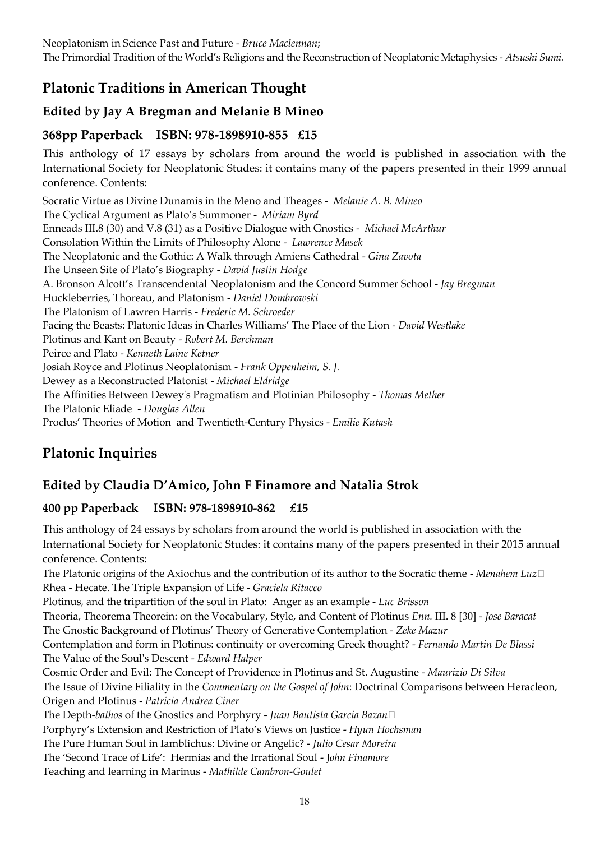The Primordial Tradition of the World's Religions and the Reconstruction of Neoplatonic Metaphysics - *Atsushi Sumi.*

# **Platonic Traditions in American Thought**

# **Edited by Jay A Bregman and Melanie B Mineo**

## **368pp Paperback ISBN: 978-1898910-855 £15**

This anthology of 17 essays by scholars from around the world is published in association with the International Society for Neoplatonic Studes: it contains many of the papers presented in their 1999 annual conference. Contents:

Socratic Virtue as Divine Dunamis in the Meno and Theages - *Melanie A. B. Mineo* The Cyclical Argument as Plato's Summoner - *Miriam Byrd* Enneads III.8 (30) and V.8 (31) as a Positive Dialogue with Gnostics - *Michael McArthur* Consolation Within the Limits of Philosophy Alone - *Lawrence Masek* The Neoplatonic and the Gothic: A Walk through Amiens Cathedral - *Gina Zavota* The Unseen Site of Plato's Biography - *David Justin Hodge* A. Bronson Alcott's Transcendental Neoplatonism and the Concord Summer School - *Jay Bregman* Huckleberries, Thoreau, and Platonism - *Daniel Dombrowski* The Platonism of Lawren Harris - *Frederic M. Schroeder* Facing the Beasts: Platonic Ideas in Charles Williams' The Place of the Lion - *David Westlake* Plotinus and Kant on Beauty - *Robert M. Berchman* Peirce and Plato - *Kenneth Laine Ketner* Josiah Royce and Plotinus Neoplatonism - *Frank Oppenheim, S. J.* Dewey as a Reconstructed Platonist - *Michael Eldridge* The Affinities Between Dewey's Pragmatism and Plotinian Philosophy - *Thomas Mether* The Platonic Eliade - *Douglas Allen* Proclus' Theories of Motion and Twentieth-Century Physics - *Emilie Kutash*

# **Platonic Inquiries**

# **Edited by Claudia D'Amico, John F Finamore and Natalia Strok**

## **400 pp Paperback ISBN: 978-1898910-862 £15**

This anthology of 24 essays by scholars from around the world is published in association with the International Society for Neoplatonic Studes: it contains many of the papers presented in their 2015 annual conference. Contents:

The Platonic origins of the Axiochus and the contribution of its author to the Socratic theme - *Menahem Luz•* Rhea - Hecate. The Triple Expansion of Life - *Graciela Ritacco*

Plotinus, and the tripartition of the soul in Plato: Anger as an example - *Luc Brisson*

Theoria, Theorema Theorein: on the Vocabulary, Style, and Content of Plotinus *Enn.* III. 8 [30] - *Jose Baracat* The Gnostic Background of Plotinus' Theory of Generative Contemplation - *Zeke Mazur*

Contemplation and form in Plotinus: continuity or overcoming Greek thought? - *Fernando Martin De Blassi* The Value of the Soul's Descent - *Edward Halper*

Cosmic Order and Evil: The Concept of Providence in Plotinus and St. Augustine - *Maurizio Di Silva* The Issue of Divine Filiality in the *Commentary on the Gospel of John*: Doctrinal Comparisons between Heracleon, Origen and Plotinus - *Patricia Andrea Ciner*

The Depth-*bathos* of the Gnostics and Porphyry - *Juan Bautista Garcia Bazan•*

Porphyry's Extension and Restriction of Plato's Views on Justice - *Hyun Hochsman*

The Pure Human Soul in Iamblichus: Divine or Angelic? - *Julio Cesar Moreira*

The 'Second Trace of Life': Hermias and the Irrational Soul - J*ohn Finamore*

Teaching and learning in Marinus - *Mathilde Cambron-Goulet*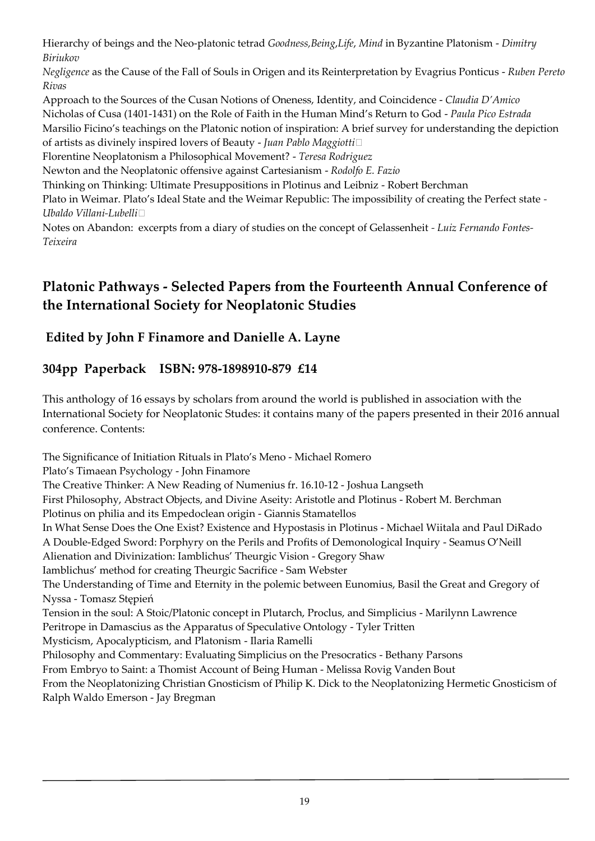Hierarchy of beings and the Neo-platonic tetrad *Goodness,Being*,*Life*, *Mind* in Byzantine Platonism - *Dimitry Biriukov*

*Negligence* as the Cause of the Fall of Souls in Origen and its Reinterpretation by Evagrius Ponticus - *Ruben Pereto Rivas*

Approach to the Sources of the Cusan Notions of Oneness, Identity, and Coincidence - *Claudia D'Amico* Nicholas of Cusa (1401-1431) on the Role of Faith in the Human Mind's Return to God - *Paula Pico Estrada* Marsilio Ficino's teachings on the Platonic notion of inspiration: A brief survey for understanding the depiction of artists as divinely inspired lovers of Beauty - *Juan Pablo Maggiotti•*

Florentine Neoplatonism a Philosophical Movement? - *Teresa Rodriguez*

Newton and the Neoplatonic offensive against Cartesianism - *Rodolfo E. Fazio*

Thinking on Thinking: Ultimate Presuppositions in Plotinus and Leibniz - Robert Berchman

Plato in Weimar. Plato's Ideal State and the Weimar Republic: The impossibility of creating the Perfect state *- Ubaldo Villani-Lubelli*•

Notes on Abandon: excerpts from a diary of studies on the concept of Gelassenheit *- Luiz Fernando Fontes-Teixeira*

# **Platonic Pathways - Selected Papers from the Fourteenth Annual Conference of the International Society for Neoplatonic Studies**

# **Edited by John F Finamore and Danielle A. Layne**

## **304pp Paperback ISBN: 978-1898910-879 £14**

This anthology of 16 essays by scholars from around the world is published in association with the International Society for Neoplatonic Studes: it contains many of the papers presented in their 2016 annual conference. Contents:

The Significance of Initiation Rituals in Plato's Meno - Michael Romero Plato's Timaean Psychology - John Finamore The Creative Thinker: A New Reading of Numenius fr. 16.10-12 - Joshua Langseth First Philosophy, Abstract Objects, and Divine Aseity: Aristotle and Plotinus - Robert M. Berchman

Plotinus on philia and its Empedoclean origin - Giannis Stamatellos

In What Sense Does the One Exist? Existence and Hypostasis in Plotinus - Michael Wiitala and Paul DiRado

A Double-Edged Sword: Porphyry on the Perils and Profits of Demonological Inquiry - Seamus O'Neill

Alienation and Divinization: Iamblichus' Theurgic Vision - Gregory Shaw

Iamblichus' method for creating Theurgic Sacrifice - Sam Webster

The Understanding of Time and Eternity in the polemic between Eunomius, Basil the Great and Gregory of Nyssa - Tomasz Stępień

Tension in the soul: A Stoic/Platonic concept in Plutarch, Proclus, and Simplicius - Marilynn Lawrence

Peritrope in Damascius as the Apparatus of Speculative Ontology - Tyler Tritten

Mysticism, Apocalypticism, and Platonism - Ilaria Ramelli

Philosophy and Commentary: Evaluating Simplicius on the Presocratics - Bethany Parsons

From Embryo to Saint: a Thomist Account of Being Human - Melissa Rovig Vanden Bout

From the Neoplatonizing Christian Gnosticism of Philip K. Dick to the Neoplatonizing Hermetic Gnosticism of Ralph Waldo Emerson - Jay Bregman